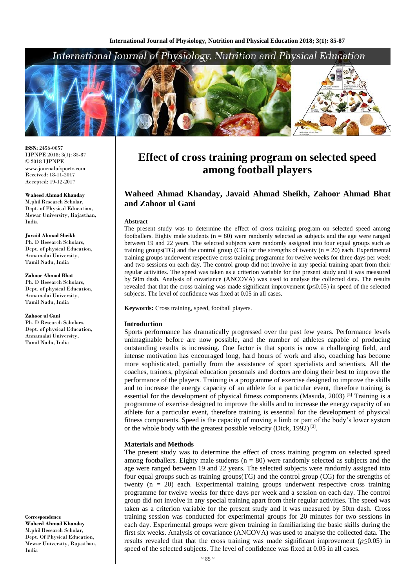## International Journal of Physiology, Nutrition and Physical Education



**ISSN:** 2456-0057 IJPNPE 2018; 3(1): 85-87  $\odot$  2018 IJPNPE www.journalofsports.com Received: 18-11-2017 Accepted: 19-12-2017

**Waheed Ahmad Khanday** M.phil Research Scholar, Dept. of Physical Education, Mewar University, Rajasthan, India

**Javaid Ahmad Sheikh** Ph. D Research Scholars, Dept. of physical Education, Annamalai University, Tamil Nadu, India

**Zahoor Ahmad Bhat** Ph. D Research Scholars, Dept. of physical Education,

Annamalai University, Tamil Nadu, India

**Zahoor ul Gani**

Ph. D Research Scholars, Dept. of physical Education, Annamalai University, Tamil Nadu, India

**Correspondence Waheed Ahmad Khanday** M.phil Research Scholar, Dept. Of Physical Education, Mewar University, Rajasthan, India

# **Effect of cross training program on selected speed among football players**

### **Waheed Ahmad Khanday, Javaid Ahmad Sheikh, Zahoor Ahmad Bhat and Zahoor ul Gani**

#### **Abstract**

The present study was to determine the effect of cross training program on selected speed among footballers. Eighty male students  $(n = 80)$  were randomly selected as subjects and the age were ranged between 19 and 22 years. The selected subjects were randomly assigned into four equal groups such as training groups(TG) and the control group (CG) for the strengths of twenty ( $n = 20$ ) each. Experimental training groups underwent respective cross training programme for twelve weeks for three days per week and two sessions on each day. The control group did not involve in any special training apart from their regular activities. The speed was taken as a criterion variable for the present study and it was measured by 50m dash. Analysis of covariance (ANCOVA) was used to analyse the collected data. The results revealed that that the cross training was made significant improvement (*p*≤0.05) in speed of the selected subjects. The level of confidence was fixed at 0.05 in all cases.

**Keywords:** Cross training, speed, football players.

#### **Introduction**

Sports performance has dramatically progressed over the past few years. Performance levels unimaginable before are now possible, and the number of athletes capable of producing outstanding results is increasing. One factor is that sports is now a challenging field, and intense motivation has encouraged long, hard hours of work and also, coaching has become more sophisticated, partially from the assistance of sport specialists and scientists. All the coaches, trainers, physical education personals and doctors are doing their best to improve the performance of the players. Training is a programme of exercise designed to improve the skills and to increase the energy capacity of an athlete for a particular event, therefore training is essential for the development of physical fitness components (Masuda, 2003) [5] Training is a programme of exercise designed to improve the skills and to increase the energy capacity of an athlete for a particular event, therefore training is essential for the development of physical fitness components. Speed is the capacity of moving a limb or part of the body's lower system or the whole body with the greatest possible velocity (Dick, 1992)<sup>[3]</sup>.

#### **Materials and Methods**

The present study was to determine the effect of cross training program on selected speed among footballers. Eighty male students  $(n = 80)$  were randomly selected as subjects and the age were ranged between 19 and 22 years. The selected subjects were randomly assigned into four equal groups such as training groups(TG) and the control group (CG) for the strengths of twenty (n = 20) each. Experimental training groups underwent respective cross training programme for twelve weeks for three days per week and a session on each day. The control group did not involve in any special training apart from their regular activities. The speed was taken as a criterion variable for the present study and it was measured by 50m dash. Cross training session was conducted for experimental groups for 20 minutes for two sessions in each day. Experimental groups were given training in familiarizing the basic skills during the first six weeks. Analysis of covariance (ANCOVA) was used to analyse the collected data. The results revealed that that the cross training was made significant improvement ( $p \le 0.05$ ) in speed of the selected subjects. The level of confidence was fixed at 0.05 in all cases.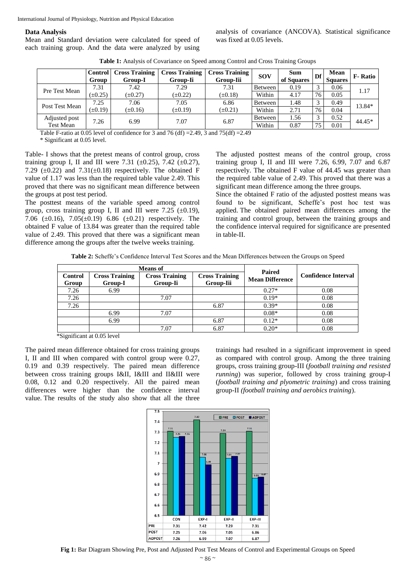International Journal of Physiology, Nutrition and Physical Education

#### **Data Analysis**

Mean and Standard deviation were calculated for speed of each training group. And the data were analyzed by using analysis of covariance (ANCOVA). Statistical significance was fixed at 0.05 levels.

| Table 1: Analysis of Covariance on Speed among Control and Cross Training Groups |  |  |  |
|----------------------------------------------------------------------------------|--|--|--|
|----------------------------------------------------------------------------------|--|--|--|

|                  | <b>Control</b><br>Group | <b>Cross Training</b><br>Group-I | <b>Cross Training</b><br>Group-Ii | <b>Cross Training</b><br>Group-Iii | <b>SOV</b> | <b>Sum</b><br>of Squares | Df           | Mean<br><b>Squares</b> | <b>F</b> -Ratio |
|------------------|-------------------------|----------------------------------|-----------------------------------|------------------------------------|------------|--------------------------|--------------|------------------------|-----------------|
| Pre Test Mean    | 7.31                    | 7.42                             | 7.29                              | 7.31                               | Between    | 0.19                     | $\mathbf{r}$ | 0.06                   | 1.17            |
|                  | $(\pm 0.25)$            | $(\pm 0.27)$                     | $(\pm 0.22)$                      | $(\pm 0.18)$                       | Within     | 4.17                     | 76           | 0.05                   |                 |
| Post Test Mean   | 7.25                    | 7.06                             | 7.05                              | 6.86                               | Between    | 1.48                     | $\sim$       | 0.49                   | 13.84*          |
|                  | $(\pm 0.19)$            | $(\pm 0.16)$                     | $(\pm 0.19)$                      | $(\pm 0.21)$                       | Within     | 2.71                     | 76           | 0.04                   |                 |
| Adjusted post    | 7.26                    | 6.99                             | 7.07                              | 6.87                               | Between    | 1.56                     | $\sim$       | 0.52                   | 44.45*          |
| <b>Test Mean</b> |                         |                                  |                                   |                                    | Within     | 0.87                     | 75           | 0.01                   |                 |

Table F-ratio at 0.05 level of confidence for 3 and 76 (df) =  $2.49$ , 3 and 75(df) =  $2.49$ 

\* Significant at 0.05 level.

Table- I shows that the pretest means of control group, cross training group I, II and III were 7.31 ( $\pm 0.25$ ), 7.42 ( $\pm 0.27$ ), 7.29 ( $\pm$ 0.22) and 7.31( $\pm$ 0.18) respectively. The obtained F value of 1.17 was less than the required table value 2.49. This proved that there was no significant mean difference between the groups at post test period.

The posttest means of the variable speed among control group, cross training group I, II and III were 7.25  $(\pm 0.19)$ , 7.06 ( $\pm$ 0.16), 7.05( $\pm$ 0.19) 6.86 ( $\pm$ 0.21) respectively. The obtained F value of 13.84 was greater than the required table value of 2.49. This proved that there was a significant mean difference among the groups after the twelve weeks training.

The adjusted posttest means of the control group, cross training group I, II and III were 7.26, 6.99, 7.07 and 6.87 respectively. The obtained F value of 44.45 was greater than the required table value of 2.49. This proved that there was a significant mean difference among the three groups.

Since the obtained F ratio of the adjusted posttest means was found to be significant, Scheffe's post hoc test was applied. The obtained paired mean differences among the training and control group, between the training groups and the confidence interval required for significance are presented in table-II.

**Table 2:** Scheffe's Confidence Interval Test Scores and the Mean Differences between the Groups on Speed

| <b>Means</b> of         |                                  |                                   | Paired                             |                        |                            |  |
|-------------------------|----------------------------------|-----------------------------------|------------------------------------|------------------------|----------------------------|--|
| <b>Control</b><br>Group | <b>Cross Training</b><br>Group-I | <b>Cross Training</b><br>Group-Ii | <b>Cross Training</b><br>Group-Iii | <b>Mean Difference</b> | <b>Confidence Interval</b> |  |
| 7.26                    | 6.99                             |                                   |                                    | $0.27*$                | 0.08                       |  |
| 7.26                    |                                  | 7.07                              |                                    | $0.19*$                | 0.08                       |  |
| 7.26                    |                                  |                                   | 6.87                               | $0.39*$                | 0.08                       |  |
|                         | 6.99                             | 7.07                              |                                    | $0.08*$                | 0.08                       |  |
|                         | 6.99                             |                                   | 6.87                               | $0.12*$                | 0.08                       |  |
|                         |                                  | 7.07                              | 6.87                               | $0.20*$                | 0.08                       |  |

\*Significant at 0.05 level

The paired mean difference obtained for cross training groups I, II and III when compared with control group were 0.27, 0.19 and 0.39 respectively. The paired mean difference between cross training groups I&II, I&III and II&III were 0.08, 0.12 and 0.20 respectively. All the paired mean differences were higher than the confidence interval value. The results of the study also show that all the three trainings had resulted in a significant improvement in speed as compared with control group. Among the three training groups, cross training group-III (*football training and resisted running*) was superior, followed by cross training group-I (*football training and plyometric training*) and cross training group-II *(football training and aerobics training*).



**Fig 1:** Bar Diagram Showing Pre, Post and Adjusted Post Test Means of Control and Experimental Groups on Speed